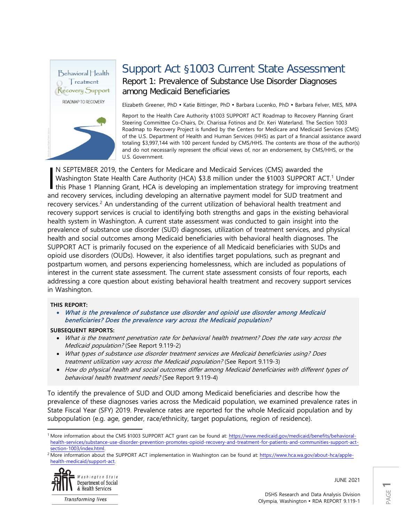

## Support Act §1003 Current State Assessment Report 1: Prevalence of Substance Use Disorder Diagnoses among Medicaid Beneficiaries

Elizabeth Greener, PhD · Katie Bittinger, PhD · Barbara Lucenko, PhD · Barbara Felver, MES, MPA

Report to the Health Care Authority §1003 SUPPORT ACT Roadmap to Recovery Planning Grant Steering Committee Co-Chairs, Dr. Charissa Fotinos and Dr. Keri Waterland. The Section 1003 Roadmap to Recovery Project is funded by the Centers for Medicare and Medicaid Services (CMS) of the U.S. Department of Health and Human Services (HHS) as part of a financial assistance award totaling \$3,997,144 with 100 percent funded by CMS/HHS. The contents are those of the author(s) and do not necessarily represent the official views of, nor an endorsement, by CMS/HHS, or the U.S. Government.

N SEPTEMBER 2019, the Centers for Medicare and Medicaid Services (CMS) awarded the Washington State Health Care Authority (HCA) \$3.8 million under the §[1](#page-0-0)003 SUPPORT ACT.<sup>1</sup> Under N SEPTEMBER 2019, the Centers for Medicare and Medicaid Services (CMS) awarded the<br>Washington State Health Care Authority (HCA) \$3.8 million under the \$1003 SUPPORT ACT.<sup>1</sup> Under<br>this Phase 1 Planning Grant, HCA is develop and recovery services, including developing an alternative payment model for SUD treatment and recovery services.<sup>[2](#page-0-1)</sup> An understanding of the current utilization of behavioral health treatment and recovery support services is crucial to identifying both strengths and gaps in the existing behavioral health system in Washington. A current state assessment was conducted to gain insight into the prevalence of substance use disorder (SUD) diagnoses, utilization of treatment services, and physical health and social outcomes among Medicaid beneficiaries with behavioral health diagnoses. The SUPPORT ACT is primarily focused on the experience of all Medicaid beneficiaries with SUDs and opioid use disorders (OUDs). However, it also identifies target populations, such as pregnant and postpartum women, and persons experiencing homelessness, which are included as populations of interest in the current state assessment. The current state assessment consists of four reports, each addressing a core question about existing behavioral health treatment and recovery support services in Washington.

#### **THIS REPORT:**

• What is the prevalence of substance use disorder and opioid use disorder among Medicaid beneficiaries? Does the prevalence vary across the Medicaid population?

### **SUBSEQUENT REPORTS:**

- What is the treatment penetration rate for behavioral health treatment? Does the rate vary across the Medicaid population? (See Report 9.119-2)
- What types of substance use disorder treatment services are Medicaid beneficiaries using? Does treatment utilization vary across the Medicaid population? (See Report 9.119-3)
- How do physical health and social outcomes differ among Medicaid beneficiaries with different types of behavioral health treatment needs? (See Report 9.119-4)

To identify the prevalence of SUD and OUD among Medicaid beneficiaries and describe how the prevalence of these diagnoses varies across the Medicaid population, we examined prevalence rates in State Fiscal Year (SFY) 2019. Prevalence rates are reported for the whole Medicaid population and by subpopulation (e.g. age, gender, race/ethnicity, target populations, region of residence).

<span id="page-0-1"></span><sup>2</sup> More information about the SUPPORT ACT implementation in Washington can be found at[: https://www.hca.wa.gov/about-hca/apple](https://www.hca.wa.gov/about-hca/apple-health-medicaid/support-act)[health-medicaid/support-act.](https://www.hca.wa.gov/about-hca/apple-health-medicaid/support-act)



 $\overline{a}$ 

**Transforming lives** 

JUNE 2021

<span id="page-0-0"></span><sup>&</sup>lt;sup>1</sup> More information about the CMS §1003 SUPPORT ACT grant can be found at: [https://www.medicaid.gov/medicaid/benefits/behavioral](https://www.medicaid.gov/medicaid/benefits/behavioral-health-services/substance-use-disorder-prevention-promotes-opioid-recovery-and-treatment-for-patients-and-communities-support-act-section-1003/index.html)[health-services/substance-use-disorder-prevention-promotes-opioid-recovery-and-treatment-for-patients-and-communities-support-act](https://www.medicaid.gov/medicaid/benefits/behavioral-health-services/substance-use-disorder-prevention-promotes-opioid-recovery-and-treatment-for-patients-and-communities-support-act-section-1003/index.html)[section-1003/index.html.](https://www.medicaid.gov/medicaid/benefits/behavioral-health-services/substance-use-disorder-prevention-promotes-opioid-recovery-and-treatment-for-patients-and-communities-support-act-section-1003/index.html)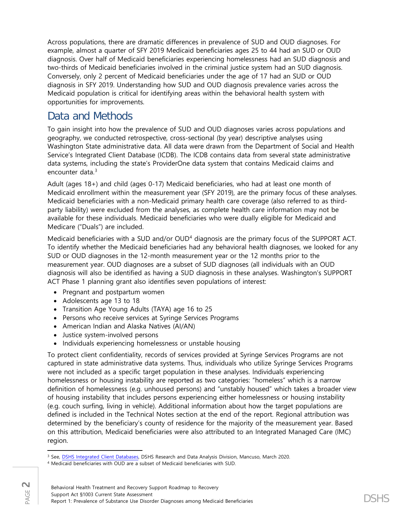Across populations, there are dramatic differences in prevalence of SUD and OUD diagnoses. For example, almost a quarter of SFY 2019 Medicaid beneficiaries ages 25 to 44 had an SUD or OUD diagnosis. Over half of Medicaid beneficiaries experiencing homelessness had an SUD diagnosis and two-thirds of Medicaid beneficiaries involved in the criminal justice system had an SUD diagnosis. Conversely, only 2 percent of Medicaid beneficiaries under the age of 17 had an SUD or OUD diagnosis in SFY 2019. Understanding how SUD and OUD diagnosis prevalence varies across the Medicaid population is critical for identifying areas within the behavioral health system with opportunities for improvements.

## Data and Methods

To gain insight into how the prevalence of SUD and OUD diagnoses varies across populations and geography, we conducted retrospective, cross-sectional (by year) descriptive analyses using Washington State administrative data. All data were drawn from the Department of Social and Health Service's Integrated Client Database (ICDB). The ICDB contains data from several state administrative data systems, including the state's ProviderOne data system that contains Medicaid claims and encounter data.[3](#page-1-0)

Adult (ages 18+) and child (ages 0-17) Medicaid beneficiaries, who had at least one month of Medicaid enrollment within the measurement year (SFY 2019), are the primary focus of these analyses. Medicaid beneficiaries with a non-Medicaid primary health care coverage (also referred to as thirdparty liability) were excluded from the analyses, as complete health care information may not be available for these individuals. Medicaid beneficiaries who were dually eligible for Medicaid and Medicare ("Duals") are included.

Medicaid beneficiaries with a SUD and/or OUD<sup>[4](#page-1-1)</sup> diagnosis are the primary focus of the SUPPORT ACT. To identify whether the Medicaid beneficiaries had any behavioral health diagnoses, we looked for any SUD or OUD diagnoses in the 12-month measurement year or the 12 months prior to the measurement year. OUD diagnoses are a subset of SUD diagnoses (all individuals with an OUD diagnosis will also be identified as having a SUD diagnosis in these analyses. Washington's SUPPORT ACT Phase 1 planning grant also identifies seven populations of interest:

- Pregnant and postpartum women
- Adolescents age 13 to 18
- Transition Age Young Adults (TAYA) age 16 to 25
- Persons who receive services at Syringe Services Programs
- American Indian and Alaska Natives (AI/AN)
- Justice system-involved persons
- Individuals experiencing homelessness or unstable housing

To protect client confidentiality, records of services provided at Syringe Services Programs are not captured in state administrative data systems. Thus, individuals who utilize Syringe Services Programs were not included as a specific target population in these analyses. Individuals experiencing homelessness or housing instability are reported as two categories: "homeless" which is a narrow definition of homelessness (e.g. unhoused persons) and "unstably housed" which takes a broader view of housing instability that includes persons experiencing either homelessness or housing instability (e.g. couch surfing, living in vehicle). Additional information about how the target populations are defined is included in the Technical Notes section at the end of the report. Regional attribution was determined by the beneficiary's county of residence for the majority of the measurement year. Based on this attribution, Medicaid beneficiaries were also attributed to an Integrated Managed Care (IMC) region.

 $\overline{\phantom{a}}$ <sup>3</sup> See, [DSHS Integrated Client Databases,](https://www.dshs.wa.gov/ffa/rda/research-reports/dshs-integrated-client-databases) DSHS Research and Data Analysis Division, Mancuso, March 2020.

<span id="page-1-1"></span><span id="page-1-0"></span><sup>4</sup> Medicaid beneficiaries with OUD are a subset of Medicaid beneficiaries with SUD.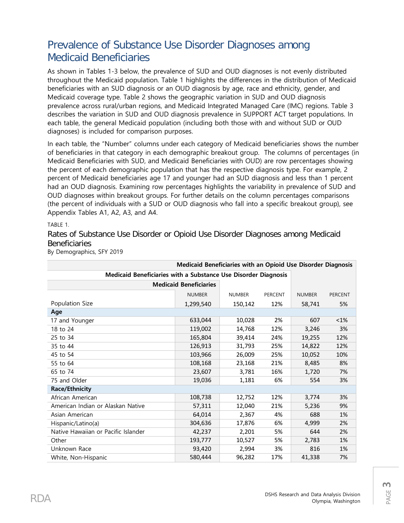# Prevalence of Substance Use Disorder Diagnoses among Medicaid Beneficiaries

As shown in Tables 1-3 below, the prevalence of SUD and OUD diagnoses is not evenly distributed throughout the Medicaid population. Table 1 highlights the differences in the distribution of Medicaid beneficiaries with an SUD diagnosis or an OUD diagnosis by age, race and ethnicity, gender, and Medicaid coverage type. Table 2 shows the geographic variation in SUD and OUD diagnosis prevalence across rural/urban regions, and Medicaid Integrated Managed Care (IMC) regions. Table 3 describes the variation in SUD and OUD diagnosis prevalence in SUPPORT ACT target populations. In each table, the general Medicaid population (including both those with and without SUD or OUD diagnoses) is included for comparison purposes.

In each table, the "Number" columns under each category of Medicaid beneficiaries shows the number of beneficiaries in that category in each demographic breakout group. The columns of percentages (in Medicaid Beneficiaries with SUD, and Medicaid Beneficiaries with OUD) are row percentages showing the percent of each demographic population that has the respective diagnosis type. For example, 2 percent of Medicaid beneficiaries age 17 and younger had an SUD diagnosis and less than 1 percent had an OUD diagnosis. Examining row percentages highlights the variability in prevalence of SUD and OUD diagnoses within breakout groups. For further details on the column percentages comparisons (the percent of individuals with a SUD or OUD diagnosis who fall into a specific breakout group), see Appendix Tables A1, A2, A3, and A4.

TABLE 1.

Rates of Substance Use Disorder or Opioid Use Disorder Diagnoses among Medicaid **Beneficiaries** 

| By Demographics, SFY 2019 |  |  |
|---------------------------|--|--|
|                           |  |  |

| Medicaid Beneficiaries with an Opioid Use Disorder Diagnosis   |                               |               |         |               |                |  |  |  |
|----------------------------------------------------------------|-------------------------------|---------------|---------|---------------|----------------|--|--|--|
| Medicaid Beneficiaries with a Substance Use Disorder Diagnosis |                               |               |         |               |                |  |  |  |
|                                                                | <b>Medicaid Beneficiaries</b> |               |         |               |                |  |  |  |
|                                                                | <b>NUMBER</b>                 | <b>NUMBER</b> | PERCENT | <b>NUMBER</b> | <b>PERCENT</b> |  |  |  |
| Population Size                                                | 1,299,540                     | 150,142       | 12%     | 58,741        | 5%             |  |  |  |
| Age                                                            |                               |               |         |               |                |  |  |  |
| 17 and Younger                                                 | 633,044                       | 10,028        | 2%      | 607           | $< 1\%$        |  |  |  |
| 18 to 24                                                       | 119,002                       | 14,768        | 12%     | 3,246         | 3%             |  |  |  |
| 25 to 34                                                       | 165,804                       | 39,414        | 24%     | 19,255        | 12%            |  |  |  |
| 35 to 44                                                       | 126,913                       | 31,793        | 25%     | 14,822        | 12%            |  |  |  |
| 45 to 54                                                       | 103,966                       | 26,009        | 25%     | 10,052        | 10%            |  |  |  |
| 55 to 64                                                       | 108,168                       | 23,168        | 21%     | 8,485         | 8%             |  |  |  |
| 65 to 74                                                       | 23,607                        | 3,781         | 16%     | 1,720         | 7%             |  |  |  |
| 75 and Older                                                   | 19,036                        | 1,181         | 6%      | 554           | 3%             |  |  |  |
| <b>Race/Ethnicity</b>                                          |                               |               |         |               |                |  |  |  |
| African American                                               | 108,738                       | 12,752        | 12%     | 3,774         | 3%             |  |  |  |
| American Indian or Alaskan Native                              | 57,311                        | 12,040        | 21%     | 5,236         | 9%             |  |  |  |
| Asian American                                                 | 64,014                        | 2,367         | 4%      | 688           | 1%             |  |  |  |
| Hispanic/Latino(a)                                             | 304,636                       | 17,876        | 6%      | 4,999         | 2%             |  |  |  |
| Native Hawaiian or Pacific Islander                            | 42,237                        | 2,201         | 5%      | 644           | 2%             |  |  |  |
| Other                                                          | 193,777                       | 10,527        | 5%      | 2,783         | 1%             |  |  |  |
| Unknown Race                                                   | 93,420                        | 2,994         | 3%      | 816           | 1%             |  |  |  |
| White, Non-Hispanic                                            | 580,444                       | 96,282        | 17%     | 41,338        | 7%             |  |  |  |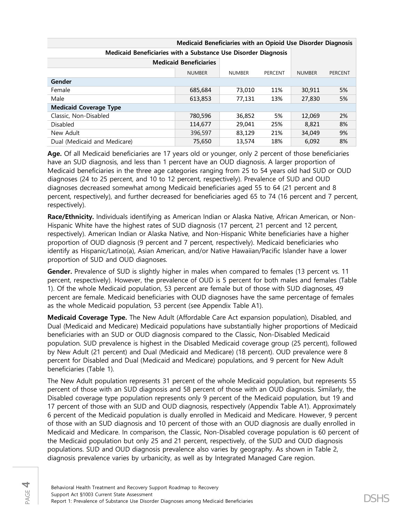| Medicaid Beneficiaries with a Substance Use Disorder Diagnosis |               |               |         |               |                |
|----------------------------------------------------------------|---------------|---------------|---------|---------------|----------------|
| <b>Medicaid Beneficiaries</b>                                  |               |               |         |               |                |
|                                                                | <b>NUMBER</b> | <b>NUMBER</b> | PERCENT | <b>NUMBER</b> | <b>PERCENT</b> |
| Gender                                                         |               |               |         |               |                |
| Female                                                         | 685,684       | 73.010        | 11%     | 30,911        | 5%             |
| Male                                                           | 613,853       | 77,131        | 13%     | 27,830        | 5%             |
| <b>Medicaid Coverage Type</b>                                  |               |               |         |               |                |
| Classic, Non-Disabled                                          | 780,596       | 36,852        | 5%      | 12,069        | 2%             |
| <b>Disabled</b>                                                | 114,677       | 29,041        | 25%     | 8,821         | 8%             |
| New Adult                                                      | 396,597       | 83,129        | 21%     | 34,049        | 9%             |
| Dual (Medicaid and Medicare)                                   | 75,650        | 13,574        | 18%     | 6,092         | 8%             |

**Medicaid Beneficiaries with an Opioid Use Disorder Diagnosis**

**Age.** Of all Medicaid beneficiaries are 17 years old or younger, only 2 percent of those beneficiaries have an SUD diagnosis, and less than 1 percent have an OUD diagnosis. A larger proportion of Medicaid beneficiaries in the three age categories ranging from 25 to 54 years old had SUD or OUD diagnoses (24 to 25 percent, and 10 to 12 percent, respectively). Prevalence of SUD and OUD diagnoses decreased somewhat among Medicaid beneficiaries aged 55 to 64 (21 percent and 8 percent, respectively), and further decreased for beneficiaries aged 65 to 74 (16 percent and 7 percent, respectively).

**Race/Ethnicity.** Individuals identifying as American Indian or Alaska Native, African American, or Non-Hispanic White have the highest rates of SUD diagnosis (17 percent, 21 percent and 12 percent, respectively). American Indian or Alaska Native, and Non-Hispanic White beneficiaries have a higher proportion of OUD diagnosis (9 percent and 7 percent, respectively). Medicaid beneficiaries who identify as Hispanic/Latino(a), Asian American, and/or Native Hawaiian/Pacific Islander have a lower proportion of SUD and OUD diagnoses.

**Gender.** Prevalence of SUD is slightly higher in males when compared to females (13 percent vs. 11 percent, respectively). However, the prevalence of OUD is 5 percent for both males and females (Table 1). Of the whole Medicaid population, 53 percent are female but of those with SUD diagnoses, 49 percent are female. Medicaid beneficiaries with OUD diagnoses have the same percentage of females as the whole Medicaid population, 53 percent (see Appendix Table A1).

**Medicaid Coverage Type.** The New Adult (Affordable Care Act expansion population), Disabled, and Dual (Medicaid and Medicare) Medicaid populations have substantially higher proportions of Medicaid beneficiaries with an SUD or OUD diagnosis compared to the Classic, Non-Disabled Medicaid population. SUD prevalence is highest in the Disabled Medicaid coverage group (25 percent), followed by New Adult (21 percent) and Dual (Medicaid and Medicare) (18 percent). OUD prevalence were 8 percent for Disabled and Dual (Medicaid and Medicare) populations, and 9 percent for New Adult beneficiaries (Table 1).

The New Adult population represents 31 percent of the whole Medicaid population, but represents 55 percent of those with an SUD diagnosis and 58 percent of those with an OUD diagnosis. Similarly, the Disabled coverage type population represents only 9 percent of the Medicaid population, but 19 and 17 percent of those with an SUD and OUD diagnosis, respectively (Appendix Table A1). Approximately 6 percent of the Medicaid population is dually enrolled in Medicaid and Medicare. However, 9 percent of those with an SUD diagnosis and 10 percent of those with an OUD diagnosis are dually enrolled in Medicaid and Medicare. In comparison, the Classic, Non-Disabled coverage population is 60 percent of the Medicaid population but only 25 and 21 percent, respectively, of the SUD and OUD diagnosis populations. SUD and OUD diagnosis prevalence also varies by geography. As shown in Table 2, diagnosis prevalence varies by urbanicity, as well as by Integrated Managed Care region.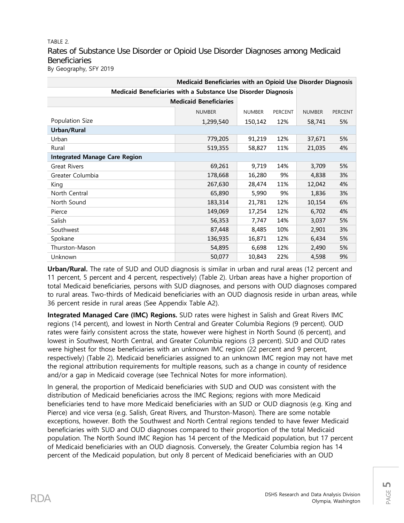TABLE 2. Rates of Substance Use Disorder or Opioid Use Disorder Diagnoses among Medicaid **Beneficiaries** By Geography, SFY 2019

| Medicaid Beneficiaries with an Opioid Use Disorder Diagnosis   |                               |               |         |               |         |  |  |
|----------------------------------------------------------------|-------------------------------|---------------|---------|---------------|---------|--|--|
| Medicaid Beneficiaries with a Substance Use Disorder Diagnosis |                               |               |         |               |         |  |  |
|                                                                | <b>Medicaid Beneficiaries</b> |               |         |               |         |  |  |
|                                                                | <b>NUMBER</b>                 | <b>NUMBER</b> | PERCENT | <b>NUMBER</b> | PERCENT |  |  |
| Population Size                                                | 1,299,540                     | 150,142       | 12%     | 58,741        | 5%      |  |  |
| <b>Urban/Rural</b>                                             |                               |               |         |               |         |  |  |
| Urban                                                          | 779,205                       | 91,219        | 12%     | 37,671        | 5%      |  |  |
| Rural                                                          | 519,355                       | 58,827        | 11%     | 21,035        | 4%      |  |  |
| <b>Integrated Manage Care Region</b>                           |                               |               |         |               |         |  |  |
| <b>Great Rivers</b>                                            | 69,261                        | 9,719         | 14%     | 3,709         | 5%      |  |  |
| Greater Columbia                                               | 178,668                       | 16,280        | 9%      | 4,838         | 3%      |  |  |
| King                                                           | 267,630                       | 28,474        | 11%     | 12,042        | 4%      |  |  |
| North Central                                                  | 65,890                        | 5,990         | 9%      | 1,836         | 3%      |  |  |
| North Sound                                                    | 183,314                       | 21,781        | 12%     | 10,154        | 6%      |  |  |
| Pierce                                                         | 149,069                       | 17,254        | 12%     | 6,702         | 4%      |  |  |
| Salish                                                         | 56,353                        | 7,747         | 14%     | 3,037         | 5%      |  |  |
| Southwest                                                      | 87,448                        | 8,485         | 10%     | 2,901         | 3%      |  |  |
| Spokane                                                        | 136,935                       | 16,871        | 12%     | 6,434         | 5%      |  |  |
| Thurston-Mason                                                 | 54,895                        | 6,698         | 12%     | 2,490         | 5%      |  |  |
| Unknown                                                        | 50,077                        | 10,843        | 22%     | 4,598         | 9%      |  |  |

**Urban/Rural.** The rate of SUD and OUD diagnosis is similar in urban and rural areas (12 percent and 11 percent, 5 percent and 4 percent, respectively) (Table 2). Urban areas have a higher proportion of total Medicaid beneficiaries, persons with SUD diagnoses, and persons with OUD diagnoses compared to rural areas. Two-thirds of Medicaid beneficiaries with an OUD diagnosis reside in urban areas, while 36 percent reside in rural areas (See Appendix Table A2).

**Integrated Managed Care (IMC) Regions.** SUD rates were highest in Salish and Great Rivers IMC regions (14 percent), and lowest in North Central and Greater Columbia Regions (9 percent). OUD rates were fairly consistent across the state, however were highest in North Sound (6 percent), and lowest in Southwest, North Central, and Greater Columbia regions (3 percent). SUD and OUD rates were highest for those beneficiaries with an unknown IMC region (22 percent and 9 percent, respectively) (Table 2). Medicaid beneficiaries assigned to an unknown IMC region may not have met the regional attribution requirements for multiple reasons, such as a change in county of residence and/or a gap in Medicaid coverage (see Technical Notes for more information).

In general, the proportion of Medicaid beneficiaries with SUD and OUD was consistent with the distribution of Medicaid beneficiaries across the IMC Regions; regions with more Medicaid beneficiaries tend to have more Medicaid beneficiaries with an SUD or OUD diagnosis (e.g. King and Pierce) and vice versa (e.g. Salish, Great Rivers, and Thurston-Mason). There are some notable exceptions, however. Both the Southwest and North Central regions tended to have fewer Medicaid beneficiaries with SUD and OUD diagnoses compared to their proportion of the total Medicaid population. The North Sound IMC Region has 14 percent of the Medicaid population, but 17 percent of Medicaid beneficiaries with an OUD diagnosis. Conversely, the Greater Columbia region has 14 percent of the Medicaid population, but only 8 percent of Medicaid beneficiaries with an OUD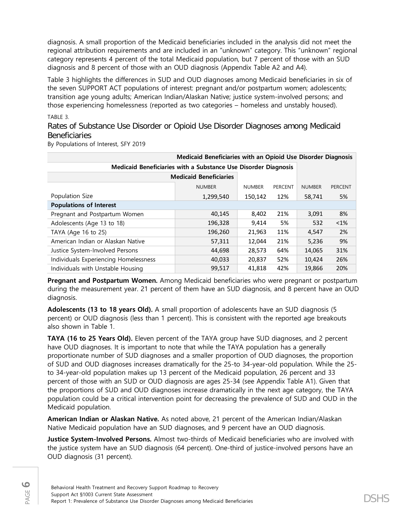diagnosis. A small proportion of the Medicaid beneficiaries included in the analysis did not meet the regional attribution requirements and are included in an "unknown" category. This "unknown" regional category represents 4 percent of the total Medicaid population, but 7 percent of those with an SUD diagnosis and 8 percent of those with an OUD diagnosis (Appendix Table A2 and A4).

Table 3 highlights the differences in SUD and OUD diagnoses among Medicaid beneficiaries in six of the seven SUPPORT ACT populations of interest: pregnant and/or postpartum women; adolescents; transition age young adults; American Indian/Alaskan Native; justice system-involved persons; and those experiencing homelessness (reported as two categories – homeless and unstably housed).

TABLE 3.

Rates of Substance Use Disorder or Opioid Use Disorder Diagnoses among Medicaid Beneficiaries

By Populations of Interest, SFY 2019

| Medicaid Beneficiaries with an Opioid Use Disorder Diagnosis   |               |               |         |               |                |  |  |
|----------------------------------------------------------------|---------------|---------------|---------|---------------|----------------|--|--|
| Medicaid Beneficiaries with a Substance Use Disorder Diagnosis |               |               |         |               |                |  |  |
| <b>Medicaid Beneficiaries</b>                                  |               |               |         |               |                |  |  |
|                                                                | <b>NUMBER</b> | <b>NUMBER</b> | PERCENT | <b>NUMBER</b> | <b>PERCENT</b> |  |  |
| Population Size                                                | 1,299,540     | 150,142       | 12%     | 58,741        | 5%             |  |  |
| <b>Populations of Interest</b>                                 |               |               |         |               |                |  |  |
| Pregnant and Postpartum Women                                  | 40,145        | 8,402         | 21%     | 3,091         | 8%             |  |  |
| Adolescents (Age 13 to 18)                                     | 196,328       | 9,414         | 5%      | 532           | $< 1\%$        |  |  |
| TAYA (Age 16 to 25)                                            | 196,260       | 21,963        | 11%     | 4,547         | 2%             |  |  |
| American Indian or Alaskan Native                              | 57,311        | 12,044        | 21%     | 5,236         | 9%             |  |  |
| Justice System-Involved Persons                                | 44,698        | 28,573        | 64%     | 14,065        | 31%            |  |  |
| Individuals Experiencing Homelessness                          | 40,033        | 20,837        | 52%     | 10,424        | 26%            |  |  |
| Individuals with Unstable Housing                              | 99,517        | 41,818        | 42%     | 19,866        | 20%            |  |  |

**Pregnant and Postpartum Women.** Among Medicaid beneficiaries who were pregnant or postpartum during the measurement year. 21 percent of them have an SUD diagnosis, and 8 percent have an OUD diagnosis.

**Adolescents (13 to 18 years Old).** A small proportion of adolescents have an SUD diagnosis (5 percent) or OUD diagnosis (less than 1 percent). This is consistent with the reported age breakouts also shown in Table 1.

**TAYA (16 to 25 Years Old).** Eleven percent of the TAYA group have SUD diagnoses, and 2 percent have OUD diagnoses. It is important to note that while the TAYA population has a generally proportionate number of SUD diagnoses and a smaller proportion of OUD diagnoses, the proportion of SUD and OUD diagnoses increases dramatically for the 25-to 34-year-old population. While the 25 to 34-year-old population makes up 13 percent of the Medicaid population, 26 percent and 33 percent of those with an SUD or OUD diagnosis are ages 25-34 (see Appendix Table A1). Given that the proportions of SUD and OUD diagnoses increase dramatically in the next age category, the TAYA population could be a critical intervention point for decreasing the prevalence of SUD and OUD in the Medicaid population.

**American Indian or Alaskan Native.** As noted above, 21 percent of the American Indian/Alaskan Native Medicaid population have an SUD diagnoses, and 9 percent have an OUD diagnosis.

**Justice System-Involved Persons.** Almost two-thirds of Medicaid beneficiaries who are involved with the justice system have an SUD diagnosis (64 percent). One-third of justice-involved persons have an OUD diagnosis (31 percent).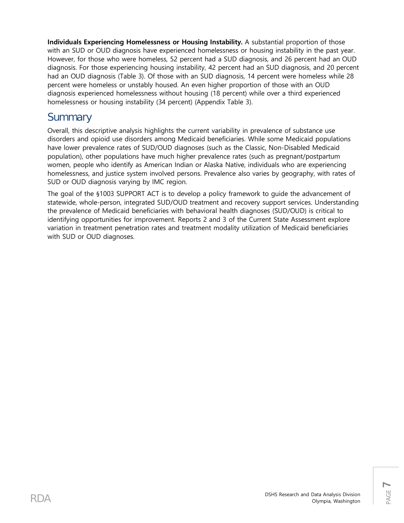**Individuals Experiencing Homelessness or Housing Instability.** A substantial proportion of those with an SUD or OUD diagnosis have experienced homelessness or housing instability in the past year. However, for those who were homeless, 52 percent had a SUD diagnosis, and 26 percent had an OUD diagnosis. For those experiencing housing instability, 42 percent had an SUD diagnosis, and 20 percent had an OUD diagnosis (Table 3). Of those with an SUD diagnosis, 14 percent were homeless while 28 percent were homeless or unstably housed. An even higher proportion of those with an OUD diagnosis experienced homelessness without housing (18 percent) while over a third experienced homelessness or housing instability (34 percent) (Appendix Table 3).

# **Summary**

Overall, this descriptive analysis highlights the current variability in prevalence of substance use disorders and opioid use disorders among Medicaid beneficiaries. While some Medicaid populations have lower prevalence rates of SUD/OUD diagnoses (such as the Classic, Non-Disabled Medicaid population), other populations have much higher prevalence rates (such as pregnant/postpartum women, people who identify as American Indian or Alaska Native, individuals who are experiencing homelessness, and justice system involved persons. Prevalence also varies by geography, with rates of SUD or OUD diagnosis varying by IMC region.

The goal of the §1003 SUPPORT ACT is to develop a policy framework to guide the advancement of statewide, whole-person, integrated SUD/OUD treatment and recovery support services. Understanding the prevalence of Medicaid beneficiaries with behavioral health diagnoses (SUD/OUD) is critical to identifying opportunities for improvement. Reports 2 and 3 of the Current State Assessment explore variation in treatment penetration rates and treatment modality utilization of Medicaid beneficiaries with SUD or OUD diagnoses.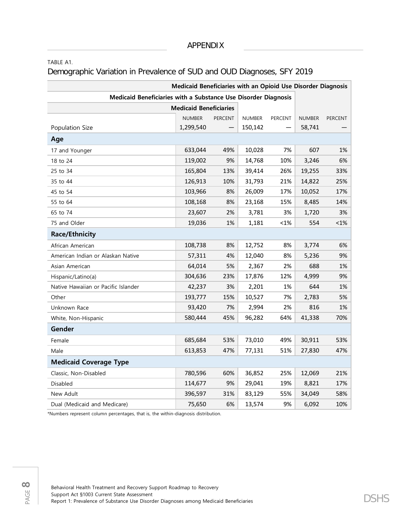### TABLE A1.

## Demographic Variation in Prevalence of SUD and OUD Diagnoses, SFY 2019

| Medicaid Beneficiaries with an Opioid Use Disorder Diagnosis   |                               |                |               |         |               |         |
|----------------------------------------------------------------|-------------------------------|----------------|---------------|---------|---------------|---------|
| Medicaid Beneficiaries with a Substance Use Disorder Diagnosis |                               |                |               |         |               |         |
|                                                                | <b>Medicaid Beneficiaries</b> |                |               |         |               |         |
|                                                                | <b>NUMBER</b>                 | <b>PERCENT</b> | <b>NUMBER</b> | PERCENT | <b>NUMBER</b> | PERCENT |
| Population Size                                                | 1,299,540                     |                | 150,142       |         | 58,741        |         |
| Age                                                            |                               |                |               |         |               |         |
| 17 and Younger                                                 | 633,044                       | 49%            | 10,028        | 7%      | 607           | 1%      |
| 18 to 24                                                       | 119,002                       | 9%             | 14,768        | 10%     | 3,246         | 6%      |
| 25 to 34                                                       | 165,804                       | 13%            | 39,414        | 26%     | 19,255        | 33%     |
| 35 to 44                                                       | 126,913                       | 10%            | 31,793        | 21%     | 14,822        | 25%     |
| 45 to 54                                                       | 103,966                       | 8%             | 26,009        | 17%     | 10,052        | 17%     |
| 55 to 64                                                       | 108,168                       | 8%             | 23,168        | 15%     | 8,485         | 14%     |
| 65 to 74                                                       | 23,607                        | 2%             | 3,781         | 3%      | 1,720         | 3%      |
| 75 and Older                                                   | 19,036                        | 1%             | 1,181         | $< 1\%$ | 554           | $< 1\%$ |
| <b>Race/Ethnicity</b>                                          |                               |                |               |         |               |         |
| African American                                               | 108,738                       | 8%             | 12,752        | 8%      | 3,774         | 6%      |
| American Indian or Alaskan Native                              | 57,311                        | 4%             | 12,040        | 8%      | 5,236         | 9%      |
| Asian American                                                 | 64,014                        | 5%             | 2,367         | 2%      | 688           | 1%      |
| Hispanic/Latino(a)                                             | 304,636                       | 23%            | 17,876        | 12%     | 4,999         | 9%      |
| Native Hawaiian or Pacific Islander                            | 42,237                        | 3%             | 2,201         | 1%      | 644           | 1%      |
| Other                                                          | 193,777                       | 15%            | 10,527        | 7%      | 2,783         | 5%      |
| Unknown Race                                                   | 93,420                        | 7%             | 2,994         | 2%      | 816           | 1%      |
| White, Non-Hispanic                                            | 580,444                       | 45%            | 96,282        | 64%     | 41,338        | 70%     |
| Gender                                                         |                               |                |               |         |               |         |
| Female                                                         | 685,684                       | 53%            | 73,010        | 49%     | 30,911        | 53%     |
| Male                                                           | 613,853                       | 47%            | 77,131        | 51%     | 27,830        | 47%     |
| <b>Medicaid Coverage Type</b>                                  |                               |                |               |         |               |         |
| Classic, Non-Disabled                                          | 780,596                       | 60%            | 36,852        | 25%     | 12,069        | 21%     |
| Disabled                                                       | 114,677                       | 9%             | 29,041        | 19%     | 8,821         | 17%     |
| New Adult                                                      | 396,597                       | 31%            | 83,129        | 55%     | 34,049        | 58%     |
| Dual (Medicaid and Medicare)                                   | 75,650                        | 6%             | 13,574        | 9%      | 6,092         | 10%     |

\*Numbers represent column percentages, that is, the within-diagnosis distribution.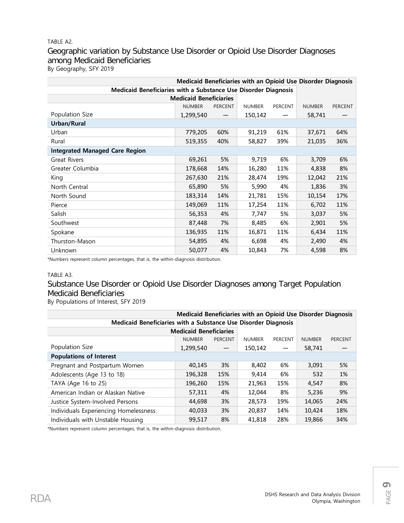## TABLE A2. Geographic variation by Substance Use Disorder or Opioid Use Disorder Diagnoses among Medicaid Beneficiaries By Geography, SFY 2019

| Medicaid Beneficiaries with an Opioid Use Disorder Diagnosis   |                               |                |               |                |               |                |
|----------------------------------------------------------------|-------------------------------|----------------|---------------|----------------|---------------|----------------|
| Medicaid Beneficiaries with a Substance Use Disorder Diagnosis |                               |                |               |                |               |                |
|                                                                | <b>Medicaid Beneficiaries</b> |                |               |                |               |                |
|                                                                | <b>NUMBER</b>                 | <b>PERCENT</b> | <b>NUMBER</b> | <b>PERCENT</b> | <b>NUMBER</b> | <b>PERCENT</b> |
| Population Size                                                | 1,299,540                     |                | 150,142       |                | 58,741        |                |
| Urban/Rural                                                    |                               |                |               |                |               |                |
| Urban                                                          | 779,205                       | 60%            | 91,219        | 61%            | 37,671        | 64%            |
| Rural                                                          | 519,355                       | 40%            | 58,827        | 39%            | 21,035        | 36%            |
| <b>Integrated Managed Care Region</b>                          |                               |                |               |                |               |                |
| <b>Great Rivers</b>                                            | 69,261                        | 5%             | 9,719         | 6%             | 3,709         | 6%             |
| Greater Columbia                                               | 178,668                       | 14%            | 16,280        | 11%            | 4,838         | 8%             |
| King                                                           | 267,630                       | 21%            | 28,474        | 19%            | 12,042        | 21%            |
| North Central                                                  | 65,890                        | 5%             | 5,990         | 4%             | 1,836         | 3%             |
| North Sound                                                    | 183,314                       | 14%            | 21,781        | 15%            | 10,154        | 17%            |
| Pierce                                                         | 149,069                       | 11%            | 17,254        | 11%            | 6,702         | 11%            |
| Salish                                                         | 56,353                        | 4%             | 7,747         | 5%             | 3,037         | 5%             |
| Southwest                                                      | 87,448                        | 7%             | 8,485         | 6%             | 2,901         | 5%             |
| Spokane                                                        | 136,935                       | 11%            | 16,871        | 11%            | 6,434         | 11%            |
| Thurston-Mason                                                 | 54,895                        | 4%             | 6,698         | 4%             | 2,490         | 4%             |
| Unknown                                                        | 50,077                        | 4%             | 10,843        | 7%             | 4,598         | 8%             |

\*Numbers represent column percentages, that is, the within-diagnosis distribution.

### TABLE A3.

## Substance Use Disorder or Opioid Use Disorder Diagnoses among Target Population Medicaid Beneficiaries

### By Populations of Interest, SFY 2019

| Medicaid Beneficiaries with an Opioid Use Disorder Diagnosis   |               |         |               |         |               |                |  |
|----------------------------------------------------------------|---------------|---------|---------------|---------|---------------|----------------|--|
| Medicaid Beneficiaries with a Substance Use Disorder Diagnosis |               |         |               |         |               |                |  |
| <b>Medicaid Beneficiaries</b>                                  |               |         |               |         |               |                |  |
|                                                                | <b>NUMBER</b> | PERCENT | <b>NUMBER</b> | PERCENT | <b>NUMBER</b> | <b>PERCENT</b> |  |
| Population Size                                                | 1,299,540     |         | 150,142       |         | 58,741        |                |  |
| <b>Populations of Interest</b>                                 |               |         |               |         |               |                |  |
| Pregnant and Postpartum Women                                  | 40,145        | 3%      | 8,402         | 6%      | 3,091         | 5%             |  |
| Adolescents (Age 13 to 18)                                     | 196,328       | 15%     | 9,414         | 6%      | 532           | 1%             |  |
| TAYA (Age 16 to 25)                                            | 196,260       | 15%     | 21,963        | 15%     | 4,547         | 8%             |  |
| American Indian or Alaskan Native                              | 57,311        | 4%      | 12.044        | 8%      | 5,236         | 9%             |  |
| Justice System-Involved Persons                                | 44,698        | 3%      | 28,573        | 19%     | 14,065        | 24%            |  |
| Individuals Experiencing Homelessness                          | 40,033        | 3%      | 20,837        | 14%     | 10,424        | 18%            |  |
| Individuals with Unstable Housing                              | 99,517        | 8%      | 41.818        | 28%     | 19,866        | 34%            |  |

\*Numbers represent column percentages, that is, the within-diagnosis distribution.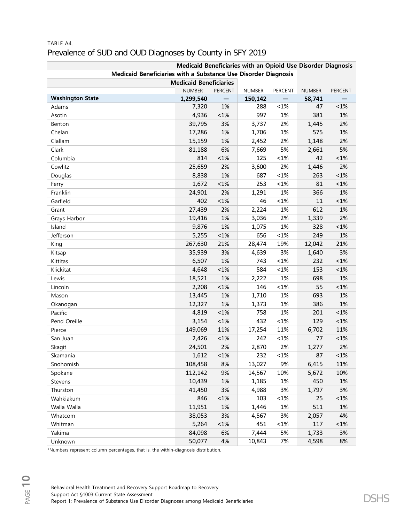|                                                                | Medicaid Beneficiaries with an Opioid Use Disorder Diagnosis |         |               |         |               |         |
|----------------------------------------------------------------|--------------------------------------------------------------|---------|---------------|---------|---------------|---------|
| Medicaid Beneficiaries with a Substance Use Disorder Diagnosis |                                                              |         |               |         |               |         |
|                                                                | <b>Medicaid Beneficiaries</b>                                |         |               |         |               |         |
|                                                                | <b>NUMBER</b>                                                | PERCENT | <b>NUMBER</b> | PERCENT | <b>NUMBER</b> | PERCENT |
| <b>Washington State</b>                                        | 1,299,540                                                    |         | 150,142       |         | 58,741        |         |
| Adams                                                          | 7,320                                                        | 1%      | 288           | $< 1\%$ | 47            | $< 1\%$ |
| Asotin                                                         | 4,936                                                        | $< 1\%$ | 997           | 1%      | 381           | 1%      |
| Benton                                                         | 39,795                                                       | 3%      | 3,737         | 2%      | 1,445         | 2%      |
| Chelan                                                         | 17,286                                                       | 1%      | 1,706         | 1%      | 575           | 1%      |
| Clallam                                                        | 15,159                                                       | 1%      | 2,452         | 2%      | 1,148         | 2%      |
| Clark                                                          | 81,188                                                       | 6%      | 7,669         | 5%      | 2,661         | 5%      |
| Columbia                                                       | 814                                                          | $< 1\%$ | 125           | $< 1\%$ | 42            | $< 1\%$ |
| Cowlitz                                                        | 25,659                                                       | 2%      | 3,600         | 2%      | 1,446         | 2%      |
| Douglas                                                        | 8,838                                                        | 1%      | 687           | $< 1\%$ | 263           | $< 1\%$ |
| Ferry                                                          | 1,672                                                        | $< 1\%$ | 253           | $< 1\%$ | 81            | $< 1\%$ |
| Franklin                                                       | 24,901                                                       | 2%      | 1,291         | 1%      | 366           | 1%      |
| Garfield                                                       | 402                                                          | $< 1\%$ | 46            | $< 1\%$ | 11            | $< 1\%$ |
| Grant                                                          | 27,439                                                       | 2%      | 2,224         | 1%      | 612           | 1%      |
| Grays Harbor                                                   | 19,416                                                       | 1%      | 3,036         | 2%      | 1,339         | 2%      |
| Island                                                         | 9,876                                                        | 1%      | 1,075         | 1%      | 328           | $< 1\%$ |
| Jefferson                                                      | 5,255                                                        | $< 1\%$ | 656           | $< 1\%$ | 249           | 1%      |
| King                                                           | 267,630                                                      | 21%     | 28,474        | 19%     | 12,042        | 21%     |
| Kitsap                                                         | 35,939                                                       | 3%      | 4,639         | 3%      | 1,640         | 3%      |
| Kittitas                                                       | 6,507                                                        | 1%      | 743           | $< 1\%$ | 232           | $< 1\%$ |
| Klickitat                                                      | 4,648                                                        | $< 1\%$ | 584           | $< 1\%$ | 153           | $< 1\%$ |
| Lewis                                                          | 18,521                                                       | 1%      | 2,222         | 1%      | 698           | 1%      |
| Lincoln                                                        | 2,208                                                        | $< 1\%$ | 146           | $< 1\%$ | 55            | $< 1\%$ |
| Mason                                                          | 13,445                                                       | 1%      | 1,710         | 1%      | 693           | 1%      |
| Okanogan                                                       | 12,327                                                       | 1%      | 1,373         | 1%      | 386           | 1%      |
| Pacific                                                        | 4,819                                                        | $< 1\%$ | 758           | 1%      | 201           | $< 1\%$ |
| Pend Oreille                                                   | 3,154                                                        | $< 1\%$ | 432           | $< 1\%$ | 129           | $< 1\%$ |
| Pierce                                                         | 149,069                                                      | 11%     | 17,254        | 11%     | 6,702         | 11%     |
| San Juan                                                       | 2,426                                                        | $< 1\%$ | 242           | $< 1\%$ | 77            | $< 1\%$ |
| Skagit                                                         | 24,501                                                       | 2%      | 2,870         | 2%      | 1,277         | 2%      |
| Skamania                                                       | 1,612                                                        | $< 1\%$ | 232           | < 1%    | 87            | $< 1\%$ |
| Snohomish                                                      | 108,458                                                      | 8%      | 13,027        | 9%      | 6,415         | 11%     |
| Spokane                                                        | 112,142                                                      | 9%      | 14,567        | 10%     | 5,672         | 10%     |
| Stevens                                                        | 10,439                                                       | 1%      | 1,185         | 1%      | 450           | 1%      |
| Thurston                                                       | 41,450                                                       | 3%      | 4,988         | 3%      | 1,797         | 3%      |
| Wahkiakum                                                      | 846                                                          | $< 1\%$ | 103           | $< 1\%$ | 25            | $< 1\%$ |
| Walla Walla                                                    | 11,951                                                       | 1%      | 1,446         | 1%      | 511           | 1%      |
| Whatcom                                                        | 38,053                                                       | 3%      | 4,567         | 3%      | 2,057         | 4%      |
| Whitman                                                        | 5,264                                                        | $<1\%$  | 451           | $< 1\%$ | 117           | $< 1\%$ |
| Yakima                                                         | 84,098                                                       | 6%      | 7,444         | 5%      | 1,733         | 3%      |
| Unknown                                                        | 50,077                                                       | 4%      | 10,843        | 7%      | 4,598         | 8%      |

## TABLE A4. Prevalence of SUD and OUD Diagnoses by County in SFY 2019

\*Numbers represent column percentages, that is, the within-diagnosis distribution.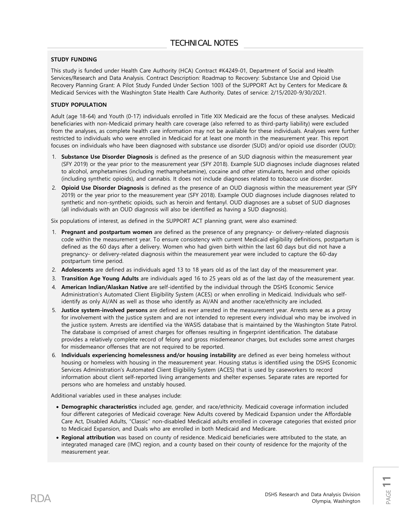#### **STUDY FUNDING**

This study is funded under Health Care Authority (HCA) Contract #K4249-01, Department of Social and Health Services/Research and Data Analysis. Contract Description: Roadmap to Recovery: Substance Use and Opioid Use Recovery Planning Grant: A Pilot Study Funded Under Section 1003 of the SUPPORT Act by Centers for Medicare & Medicaid Services with the Washington State Health Care Authority. Dates of service: 2/15/2020-9/30/2021.

### **STUDY POPULATION**

Adult (age 18-64) and Youth (0-17) individuals enrolled in Title XIX Medicaid are the focus of these analyses. Medicaid beneficiaries with non-Medicaid primary health care coverage (also referred to as third-party liability) were excluded from the analyses, as complete health care information may not be available for these individuals. Analyses were further restricted to individuals who were enrolled in Medicaid for at least one month in the measurement year. This report focuses on individuals who have been diagnosed with substance use disorder (SUD) and/or opioid use disorder (OUD):

- 1. **Substance Use Disorder Diagnosis** is defined as the presence of an SUD diagnosis within the measurement year (SFY 2019) or the year prior to the measurement year (SFY 2018). Example SUD diagnoses include diagnoses related to alcohol, amphetamines (including methamphetamine), cocaine and other stimulants, heroin and other opioids (including synthetic opioids), and cannabis. It does not include diagnoses related to tobacco use disorder.
- 2. **Opioid Use Disorder Diagnosis** is defined as the presence of an OUD diagnosis within the measurement year (SFY 2019) or the year prior to the measurement year (SFY 2018). Example OUD diagnoses include diagnoses related to synthetic and non-synthetic opioids, such as heroin and fentanyl. OUD diagnoses are a subset of SUD diagnoses (all individuals with an OUD diagnosis will also be identified as having a SUD diagnosis).

Six populations of interest, as defined in the SUPPORT ACT planning grant, were also examined:

- 1. **Pregnant and postpartum women** are defined as the presence of any pregnancy- or delivery-related diagnosis code within the measurement year. To ensure consistency with current Medicaid eligibility definitions, postpartum is defined as the 60 days after a delivery. Women who had given birth within the last 60 days but did not have a pregnancy- or delivery-related diagnosis within the measurement year were included to capture the 60-day postpartum time period.
- 2. **Adolescents** are defined as individuals aged 13 to 18 years old as of the last day of the measurement year.
- 3. **Transition Age Young Adults** are individuals aged 16 to 25 years old as of the last day of the measurement year.
- 4. **American Indian/Alaskan Native** are self-identified by the individual through the DSHS Economic Service Administration's Automated Client Eligibility System (ACES) or when enrolling in Medicaid. Individuals who selfidentify as only AI/AN as well as those who identify as AI/AN and another race/ethnicity are included.
- 5. **Justice system-involved persons** are defined as ever arrested in the measurement year. Arrests serve as a proxy for involvement with the justice system and are not intended to represent every individual who may be involved in the justice system. Arrests are identified via the WASIS database that is maintained by the Washington State Patrol. The database is comprised of arrest charges for offenses resulting in fingerprint identification. The database provides a relatively complete record of felony and gross misdemeanor charges, but excludes some arrest charges for misdemeanor offenses that are not required to be reported.
- 6. **Individuals experiencing homelessness and/or housing instability** are defined as ever being homeless without housing or homeless with housing in the measurement year. Housing status is identified using the DSHS Economic Services Administration's Automated Client Eligibility System (ACES) that is used by caseworkers to record information about client self‐reported living arrangements and shelter expenses. Separate rates are reported for persons who are homeless and unstably housed.

Additional variables used in these analyses include:

- **Demographic characteristics** included age, gender, and race/ethnicity. Medicaid coverage information included four different categories of Medicaid coverage: New Adults covered by Medicaid Expansion under the Affordable Care Act, Disabled Adults, "Classic" non-disabled Medicaid adults enrolled in coverage categories that existed prior to Medicaid Expansion, and Duals who are enrolled in both Medicaid and Medicare.
- **Regional attribution** was based on county of residence. Medicaid beneficiaries were attributed to the state, an integrated managed care (IMC) region, and a county based on their county of residence for the majority of the measurement year.